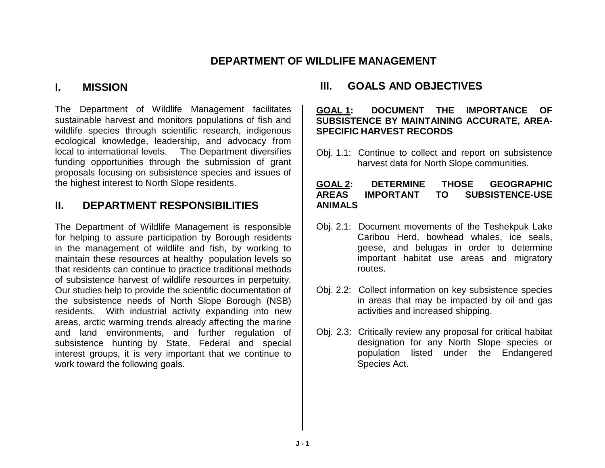## **DEPARTMENT OF WILDLIFE MANAGEMENT**

## **I. MISSION**

The Department of Wildlife Management facilitates sustainable harvest and monitors populations of fish and wildlife species through scientific research, indigenous ecological knowledge, leadership, and advocacy from local to international levels. The Department diversifies funding opportunities through the submission of grant proposals focusing on subsistence species and issues of the highest interest to North Slope residents.

# **II. DEPARTMENT RESPONSIBILITIES**

The Department of Wildlife Management is responsible for helping to assure participation by Borough residents in the management of wildlife and fish, by working to maintain these resources at healthy population levels so that residents can continue to practice traditional methods of subsistence harvest of wildlife resources in perpetuity. Our studies help to provide the scientific documentation of the subsistence needs of North Slope Borough (NSB) residents. With industrial activity expanding into new areas, arctic warming trends already affecting the marine and land environments, and further regulation of subsistence hunting by State, Federal and special interest groups, it is very important that we continue to work toward the following goals.

# **III. GOALS AND OBJECTIVES**

### **GOAL 1: DOCUMENT THE IMPORTANCE OF SUBSISTENCE BY MAINTAINING ACCURATE, AREA-SPECIFIC HARVEST RECORDS**

Obj. 1.1: Continue to collect and report on subsistence harvest data for North Slope communities.

### **GOAL 2: DETERMINE THOSE GEOGRAPHIC AREAS IMPORTANT TO SUBSISTENCE-USE ANIMALS**

- Obj. 2.1: Document movements of the Teshekpuk Lake Caribou Herd, bowhead whales, ice seals, geese, and belugas in order to determine important habitat use areas and migratory routes.
- Obj. 2.2: Collect information on key subsistence species in areas that may be impacted by oil and gas activities and increased shipping.
- Obj. 2.3: Critically review any proposal for critical habitat designation for any North Slope species or population listed under the Endangered Species Act.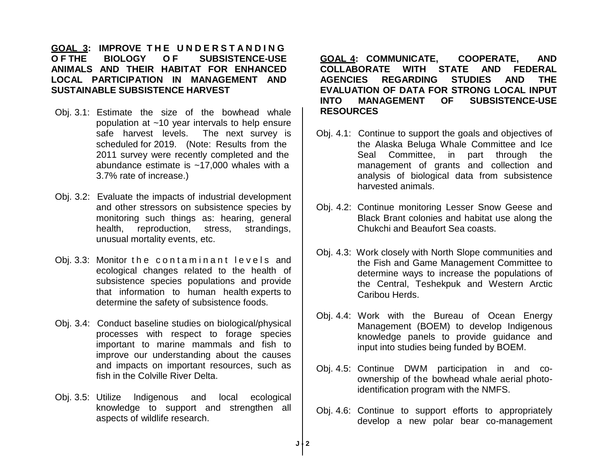### **GOAL 3: IMPROVE T H E U N D E R S T A N D I N G O F THE BIOLOGY O F SUBSISTENCE-USE ANIMALS AND THEIR HABITAT FOR ENHANCED LOCAL PARTICIPATION IN MANAGEMENT AND SUSTAINABLE SUBSISTENCE HARVEST**

- Obj. 3.1: Estimate the size of the bowhead whale population at ~10 year intervals to help ensure safe harvest levels. The next survey is scheduled for 2019. (Note: Results from the 2011 survey were recently completed and the abundance estimate is ~17,000 whales with a 3.7% rate of increase.)
- Obj. 3.2: Evaluate the impacts of industrial development and other stressors on subsistence species by monitoring such things as: hearing, general health, reproduction, stress, strandings, unusual mortality events, etc.
- Obj. 3.3: Monitor the contaminant levels and ecological changes related to the health of subsistence species populations and provide that information to human health experts to determine the safety of subsistence foods.
- Obj. 3.4: Conduct baseline studies on biological/physical processes with respect to forage species important to marine mammals and fish to improve our understanding about the causes and impacts on important resources, such as fish in the Colville River Delta.
- Obj. 3.5: Utilize lndigenous and local ecological knowledge to support and strengthen all aspects of wildlife research.

**GOAL 4: COMMUNICATE, COOPERATE, AND COLLABORATE WITH STATE AND FEDERAL AGENCIES REGARDING STUDIES AND THE EVALUATION OF DATA FOR STRONG LOCAL INPUT INTO MANAGEMENT OF SUBSISTENCE-USE RESOURCES**

- Obj. 4.1: Continue to support the goals and objectives of the Alaska Beluga Whale Committee and Ice Seal Committee, in part through the management of grants and collection and analysis of biological data from subsistence harvested animals.
- Obj. 4.2: Continue monitoring Lesser Snow Geese and Black Brant colonies and habitat use along the Chukchi and Beaufort Sea coasts.
- Obj. 4.3: Work closely with North Slope communities and the Fish and Game Management Committee to determine ways to increase the populations of the Central, Teshekpuk and Western Arctic Caribou Herds.
- Obj. 4.4: Work with the Bureau of Ocean Energy Management (BOEM) to develop Indigenous knowledge panels to provide guidance and input into studies being funded by BOEM.
- Obj. 4.5: Continue DWM participation in and coownership of the bowhead whale aerial photoidentification program with the NMFS.
- Obj. 4.6: Continue to support efforts to appropriately develop a new polar bear co-management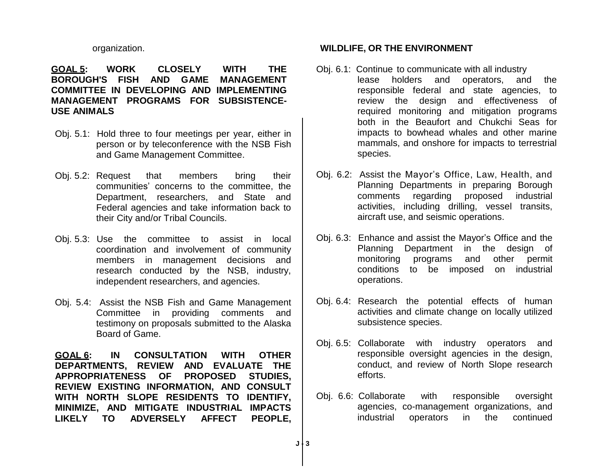#### organization.

**GOAL 5: WORK CLOSELY WITH THE BOROUGH'S FISH AND GAME MANAGEMENT COMMITTEE IN DEVELOPING AND IMPLEMENTING MANAGEMENT PROGRAMS FOR SUBSISTENCE-USE ANIMALS**

- Obj. 5.1: Hold three to four meetings per year, either in person or by teleconference with the NSB Fish and Game Management Committee.
- Obj. 5.2: Request that members bring their communities' concerns to the committee, the Department, researchers, and State and Federal agencies and take information back to their City and/or Tribal Councils.
- Obj. 5.3: Use the committee to assist in local coordination and involvement of community members in management decisions and research conducted by the NSB, industry, independent researchers, and agencies.
- Obj. 5.4: Assist the NSB Fish and Game Management Committee in providing comments and testimony on proposals submitted to the Alaska Board of Game.

**GOAL 6: IN CONSULTATION WITH OTHER DEPARTMENTS, REVIEW AND EVALUATE THE APPROPRIATENESS OF PROPOSED STUDIES, REVIEW EXISTING INFORMATION, AND CONSULT WITH NORTH SLOPE RESIDENTS TO IDENTIFY, MINIMIZE, AND MITIGATE INDUSTRIAL IMPACTS LIKELY TO ADVERSELY AFFECT PEOPLE,** 

### **WILDLIFE, OR THE ENVIRONMENT**

- Obj. 6.1: Continue to communicate with all industry lease holders and operators, and the responsible federal and state agencies, to review the design and effectiveness of required monitoring and mitigation programs both in the Beaufort and Chukchi Seas for impacts to bowhead whales and other marine mammals, and onshore for impacts to terrestrial species.
- Obj. 6.2: Assist the Mayor's Office, Law, Health, and Planning Departments in preparing Borough comments regarding proposed industrial activities, including drilling, vessel transits, aircraft use, and seismic operations.
- Obj. 6.3: Enhance and assist the Mayor's Office and the Planning Department in the design of monitoring programs and other permit conditions to be imposed on industrial operations.
- Obj. 6.4: Research the potential effects of human activities and climate change on locally utilized subsistence species.
- Obj. 6.5: Collaborate with industry operators and responsible oversight agencies in the design, conduct, and review of North Slope research efforts.
- Obj. 6.6: Collaborate with responsible oversight agencies, co-management organizations, and industrial operators in the continued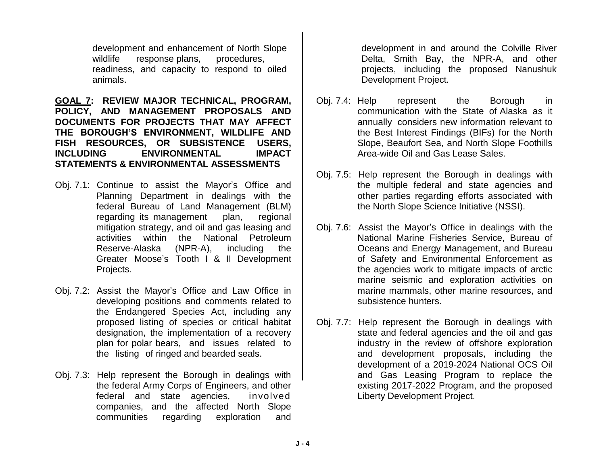development and enhancement of North Slope wildlife response plans, procedures, readiness, and capacity to respond to oiled animals.

**GOAL 7: REVIEW MAJOR TECHNICAL, PROGRAM, POLICY, AND MANAGEMENT PROPOSALS AND DOCUMENTS FOR PROJECTS THAT MAY AFFECT THE BOROUGH'S ENVIRONMENT, WILDLIFE AND FISH RESOURCES, OR SUBSISTENCE USERS, INCLUDING ENVIRONMENTAL IMPACT STATEMENTS & ENVIRONMENTAL ASSESSMENTS**

- Obj. 7.1: Continue to assist the Mayor's Office and Planning Department in dealings with the federal Bureau of Land Management (BLM) regarding its management plan, regional mitigation strategy, and oil and gas leasing and activities within the National Petroleum Reserve-Alaska (NPR-A), including the Greater Moose's Tooth I & II Development Projects.
- Obj. 7.2: Assist the Mayor's Office and Law Office in developing positions and comments related to the Endangered Species Act, including any proposed listing of species or critical habitat designation, the implementation of a recovery plan for polar bears, and issues related to the listing of ringed and bearded seals.
- Obj. 7.3: Help represent the Borough in dealings with the federal Army Corps of Engineers, and other federal and state agencies, involved companies, and the affected North Slope communities regarding exploration and

development in and around the Colville River Delta, Smith Bay, the NPR-A, and other projects, including the proposed Nanushuk Development Project.

- Obj. 7.4: Help represent the Borough in communication with the State of Alaska as it annually considers new information relevant to the Best Interest Findings (BIFs) for the North Slope, Beaufort Sea, and North Slope Foothills Area-wide Oil and Gas Lease Sales.
- Obj. 7.5: Help represent the Borough in dealings with the multiple federal and state agencies and other parties regarding efforts associated with the North Slope Science Initiative (NSSI).
- Obj. 7.6: Assist the Mayor's Office in dealings with the National Marine Fisheries Service, Bureau of Oceans and Energy Management, and Bureau of Safety and Environmental Enforcement as the agencies work to mitigate impacts of arctic marine seismic and exploration activities on marine mammals, other marine resources, and subsistence hunters.
- Obj. 7.7: Help represent the Borough in dealings with state and federal agencies and the oil and gas industry in the review of offshore exploration and development proposals, including the development of a 2019-2024 National OCS Oil and Gas Leasing Program to replace the existing 2017-2022 Program, and the proposed Liberty Development Project.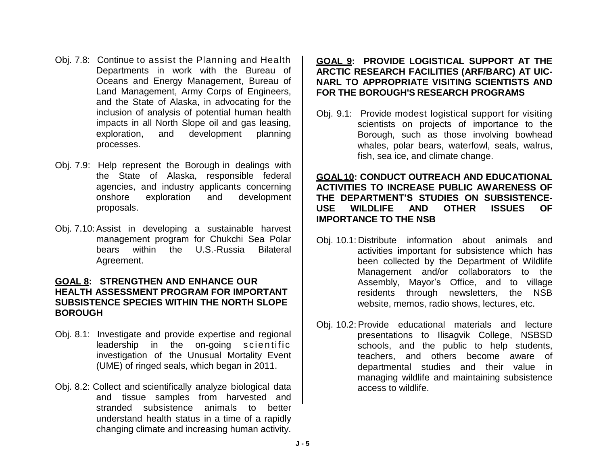- Obj. 7.8: Continue to assist the Planning and Health Departments in work with the Bureau of Oceans and Energy Management, Bureau of Land Management, Army Corps of Engineers, and the State of Alaska, in advocating for the inclusion of analysis of potential human health impacts in all North Slope oil and gas leasing, exploration, and development planning processes.
- Obj. 7.9: Help represent the Borough in dealings with the State of Alaska, responsible federal agencies, and industry applicants concerning onshore exploration and development proposals.
- Obj. 7.10:Assist in developing a sustainable harvest management program for Chukchi Sea Polar bears within the U.S.-Russia Bilateral Agreement.

### **GOAL 8: STRENGTHEN AND ENHANCE OUR HEALTH ASSESSMENT PROGRAM FOR IMPORTANT SUBSISTENCE SPECIES WITHIN THE NORTH SLOPE BOROUGH**

- Obj. 8.1: Investigate and provide expertise and regional leadership in the on-going scientific investigation of the Unusual Mortality Event (UME) of ringed seals, which began in 2011.
- Obj. 8.2: Collect and scientifically analyze biological data and tissue samples from harvested and stranded subsistence animals to better understand health status in a time of a rapidly changing climate and increasing human activity.

### **GOAL 9: PROVIDE LOGISTICAL SUPPORT AT THE ARCTIC RESEARCH FACILITIES (ARF/BARC) AT UIC-NARL TO APPROPRIATE VISITING SCIENTISTS AND FOR THE BOROUGH'S RESEARCH PROGRAMS**

Obj. 9.1: Provide modest logistical support for visiting scientists on projects of importance to the Borough, such as those involving bowhead whales, polar bears, waterfowl, seals, walrus, fish, sea ice, and climate change.

### **GOAL10: CONDUCT OUTREACH AND EDUCATIONAL ACTIVITIES TO INCREASE PUBLIC AWARENESS OF THE DEPARTMENT'S STUDIES ON SUBSISTENCE-USE WILDLIFE AND OTHER ISSUES OF IMPORTANCE TO THE NSB**

- Obj. 10.1: Distribute information about animals and activities important for subsistence which has been collected by the Department of Wildlife Management and/or collaborators to the Assembly, Mayor's Office, and to village residents through newsletters, the NSB website, memos, radio shows, lectures, etc.
- Obj. 10.2: Provide educational materials and lecture presentations to Ilisagvik College, NSBSD schools, and the public to help students, teachers, and others become aware of departmental studies and their value in managing wildlife and maintaining subsistence access to wildlife.